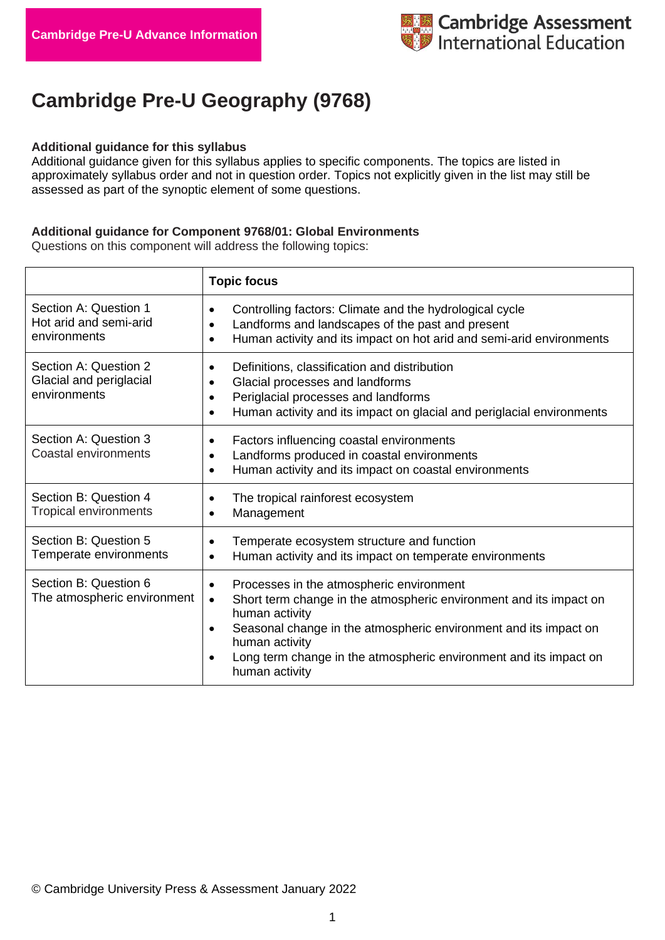

# **Cambridge Pre-U Geography (9768)**

#### **Additional guidance for this syllabus**

Additional guidance given for this syllabus applies to specific components. The topics are listed in approximately syllabus order and not in question order. Topics not explicitly given in the list may still be assessed as part of the synoptic element of some questions.

### **Additional guidance for Component 9768/01: Global Environments**

Questions on this component will address the following topics:

|                                                                  | <b>Topic focus</b>                                                                                                                                                                                                                                                                                                         |
|------------------------------------------------------------------|----------------------------------------------------------------------------------------------------------------------------------------------------------------------------------------------------------------------------------------------------------------------------------------------------------------------------|
| Section A: Question 1<br>Hot arid and semi-arid<br>environments  | Controlling factors: Climate and the hydrological cycle<br>$\bullet$<br>Landforms and landscapes of the past and present<br>Human activity and its impact on hot arid and semi-arid environments                                                                                                                           |
| Section A: Question 2<br>Glacial and periglacial<br>environments | Definitions, classification and distribution<br>Glacial processes and landforms<br>$\bullet$<br>Periglacial processes and landforms<br>Human activity and its impact on glacial and periglacial environments                                                                                                               |
| Section A: Question 3<br>Coastal environments                    | Factors influencing coastal environments<br>Landforms produced in coastal environments<br>Human activity and its impact on coastal environments                                                                                                                                                                            |
| Section B: Question 4<br>Tropical environments                   | The tropical rainforest ecosystem<br>Management                                                                                                                                                                                                                                                                            |
| Section B: Question 5<br>Temperate environments                  | Temperate ecosystem structure and function<br>Human activity and its impact on temperate environments<br>$\bullet$                                                                                                                                                                                                         |
| Section B: Question 6<br>The atmospheric environment             | Processes in the atmospheric environment<br>Short term change in the atmospheric environment and its impact on<br>$\bullet$<br>human activity<br>Seasonal change in the atmospheric environment and its impact on<br>human activity<br>Long term change in the atmospheric environment and its impact on<br>human activity |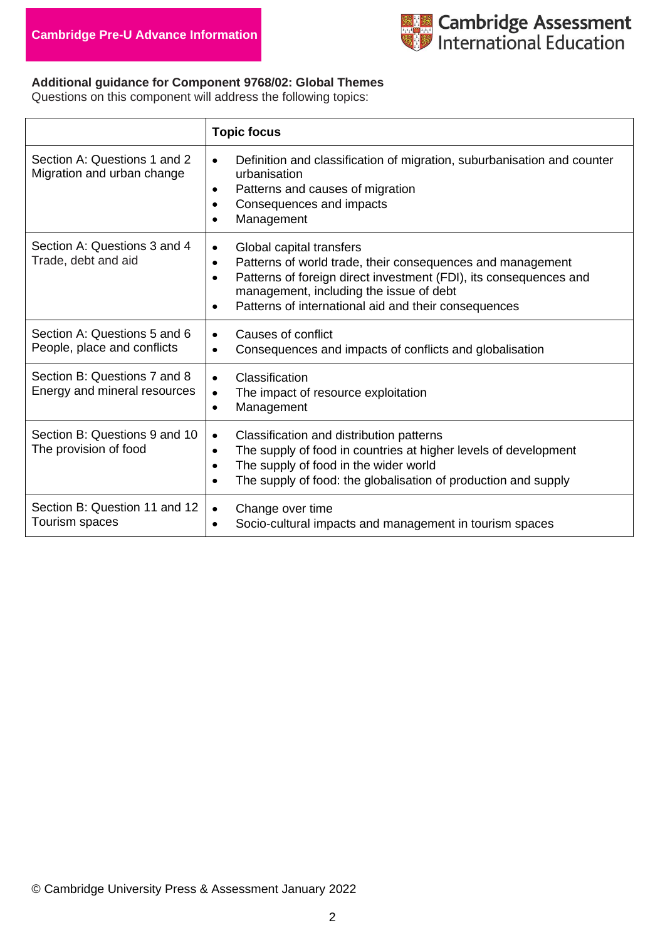

# **Additional guidance for Component 9768/02: Global Themes**

Questions on this component will address the following topics:

|                                                              | <b>Topic focus</b>                                                                                                                                                                                                                                                                                                 |
|--------------------------------------------------------------|--------------------------------------------------------------------------------------------------------------------------------------------------------------------------------------------------------------------------------------------------------------------------------------------------------------------|
| Section A: Questions 1 and 2<br>Migration and urban change   | Definition and classification of migration, suburbanisation and counter<br>$\bullet$<br>urbanisation<br>Patterns and causes of migration<br>$\bullet$<br>Consequences and impacts<br>Management                                                                                                                    |
| Section A: Questions 3 and 4<br>Trade, debt and aid          | Global capital transfers<br>$\bullet$<br>Patterns of world trade, their consequences and management<br>$\bullet$<br>Patterns of foreign direct investment (FDI), its consequences and<br>$\bullet$<br>management, including the issue of debt<br>Patterns of international aid and their consequences<br>$\bullet$ |
| Section A: Questions 5 and 6<br>People, place and conflicts  | Causes of conflict<br>$\bullet$<br>Consequences and impacts of conflicts and globalisation<br>$\bullet$                                                                                                                                                                                                            |
| Section B: Questions 7 and 8<br>Energy and mineral resources | Classification<br>$\bullet$<br>The impact of resource exploitation<br>$\bullet$<br>Management<br>$\bullet$                                                                                                                                                                                                         |
| Section B: Questions 9 and 10<br>The provision of food       | Classification and distribution patterns<br>$\bullet$<br>The supply of food in countries at higher levels of development<br>$\bullet$<br>The supply of food in the wider world<br>$\bullet$<br>The supply of food: the globalisation of production and supply<br>$\bullet$                                         |
| Section B: Question 11 and 12<br>Tourism spaces              | Change over time<br>$\bullet$<br>Socio-cultural impacts and management in tourism spaces                                                                                                                                                                                                                           |